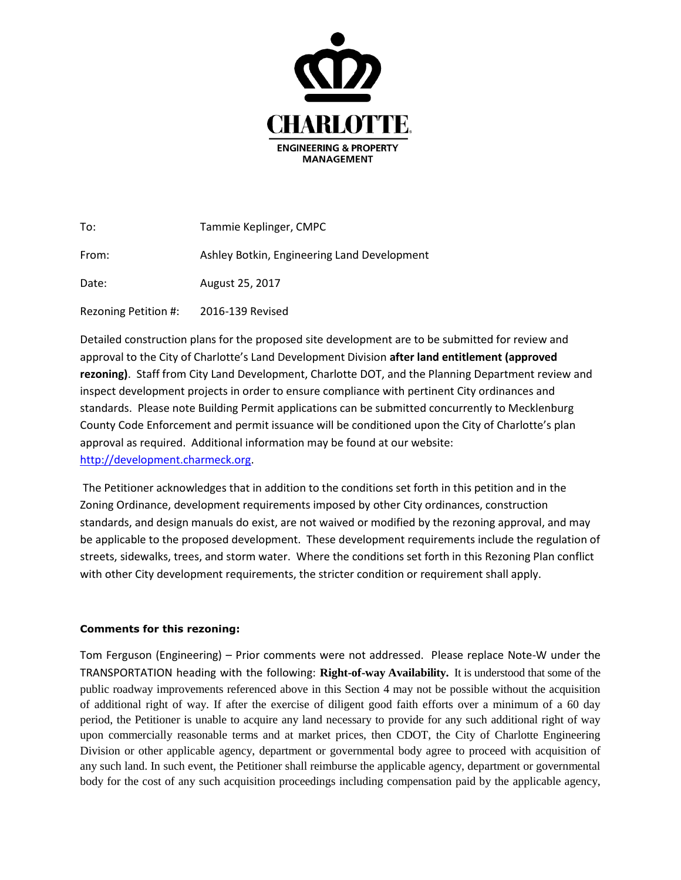

| To:                  | Tammie Keplinger, CMPC                      |
|----------------------|---------------------------------------------|
| From:                | Ashley Botkin, Engineering Land Development |
| Date:                | August 25, 2017                             |
| Rezoning Petition #: | 2016-139 Revised                            |

Detailed construction plans for the proposed site development are to be submitted for review and approval to the City of Charlotte's Land Development Division **after land entitlement (approved rezoning)**. Staff from City Land Development, Charlotte DOT, and the Planning Department review and inspect development projects in order to ensure compliance with pertinent City ordinances and standards. Please note Building Permit applications can be submitted concurrently to Mecklenburg County Code Enforcement and permit issuance will be conditioned upon the City of Charlotte's plan approval as required. Additional information may be found at our website: [http://development.charmeck.org.](http://development.charmeck.org/)

The Petitioner acknowledges that in addition to the conditions set forth in this petition and in the Zoning Ordinance, development requirements imposed by other City ordinances, construction standards, and design manuals do exist, are not waived or modified by the rezoning approval, and may be applicable to the proposed development. These development requirements include the regulation of streets, sidewalks, trees, and storm water. Where the conditions set forth in this Rezoning Plan conflict with other City development requirements, the stricter condition or requirement shall apply.

## **Comments for this rezoning:**

Tom Ferguson (Engineering) – Prior comments were not addressed. Please replace Note-W under the TRANSPORTATION heading with the following: **Right-of-way Availability.** It is understood that some of the public roadway improvements referenced above in this Section 4 may not be possible without the acquisition of additional right of way. If after the exercise of diligent good faith efforts over a minimum of a 60 day period, the Petitioner is unable to acquire any land necessary to provide for any such additional right of way upon commercially reasonable terms and at market prices, then CDOT, the City of Charlotte Engineering Division or other applicable agency, department or governmental body agree to proceed with acquisition of any such land. In such event, the Petitioner shall reimburse the applicable agency, department or governmental body for the cost of any such acquisition proceedings including compensation paid by the applicable agency,